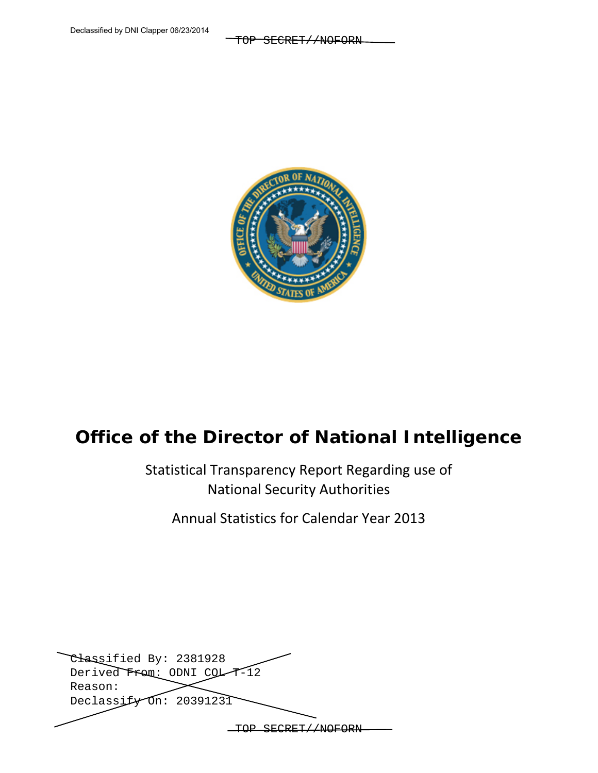TOP SECRET//NOFORN



# **Office of the Director of National Intelligence**

Statistical Transparency Report Regarding use of National Security Authorities

Annual Statistics for Calendar Year 2013

| Classified By: 2381928      |  |
|-----------------------------|--|
| Derived From: ODNI COL-T-12 |  |
| Reason:                     |  |
| Declassify On: 20391231     |  |
|                             |  |
|                             |  |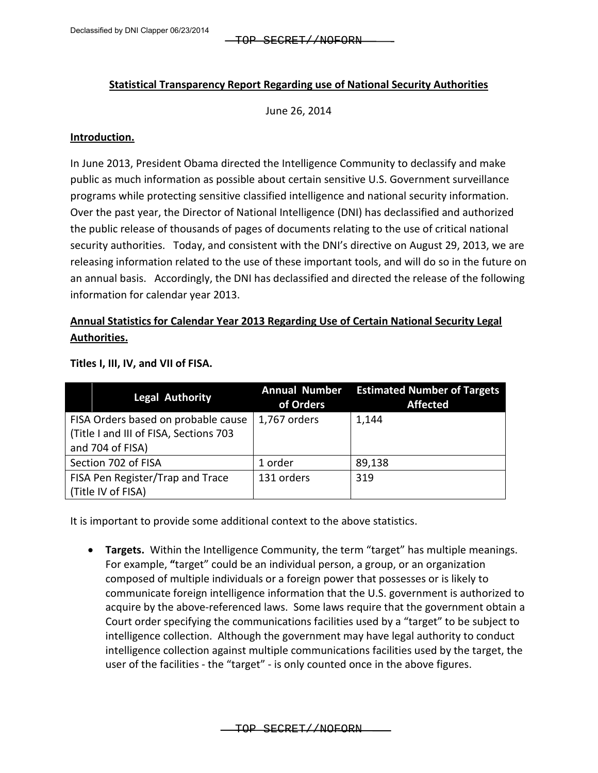### **Statistical Transparency Report Regarding use of National Security Authorities**

June 26, 2014

#### **Introduction.**

In June 2013, President Obama directed the Intelligence Community to declassify and make public as much information as possible about certain sensitive U.S. Government surveillance programs while protecting sensitive classified intelligence and national security information. Over the past year, the Director of National Intelligence (DNI) has declassified and authorized the public release of thousands of pages of documents relating to the use of critical national security authorities. Today, and consistent with the DNI's directive on August 29, 2013, we are releasing information related to the use of these important tools, and will do so in the future on an annual basis. Accordingly, the DNI has declassified and directed the release of the following information for calendar year 2013.

# **Annual Statistics for Calendar Year 2013 Regarding Use of Certain National Security Legal Authorities.**

| <b>Legal Authority</b>                 | <b>Annual Number</b><br>of Orders | <b>Estimated Number of Targets</b><br><b>Affected</b> |
|----------------------------------------|-----------------------------------|-------------------------------------------------------|
| FISA Orders based on probable cause    | 1,767 orders                      | 1,144                                                 |
| (Title I and III of FISA, Sections 703 |                                   |                                                       |
| and 704 of FISA)                       |                                   |                                                       |
| Section 702 of FISA                    | 1 order                           | 89,138                                                |
| FISA Pen Register/Trap and Trace       | 131 orders                        | 319                                                   |
| (Title IV of FISA)                     |                                   |                                                       |

**Titles I, III, IV, and VII of FISA.**

It is important to provide some additional context to the above statistics.

• **Targets.** Within the Intelligence Community, the term "target" has multiple meanings. For example, **"**target" could be an individual person, a group, or an organization composed of multiple individuals or a foreign power that possesses or is likely to communicate foreign intelligence information that the U.S. government is authorized to acquire by the above-referenced laws. Some laws require that the government obtain a Court order specifying the communications facilities used by a "target" to be subject to intelligence collection. Although the government may have legal authority to conduct intelligence collection against multiple communications facilities used by the target, the user of the facilities - the "target" - is only counted once in the above figures.

TOP SECRET//NOFORN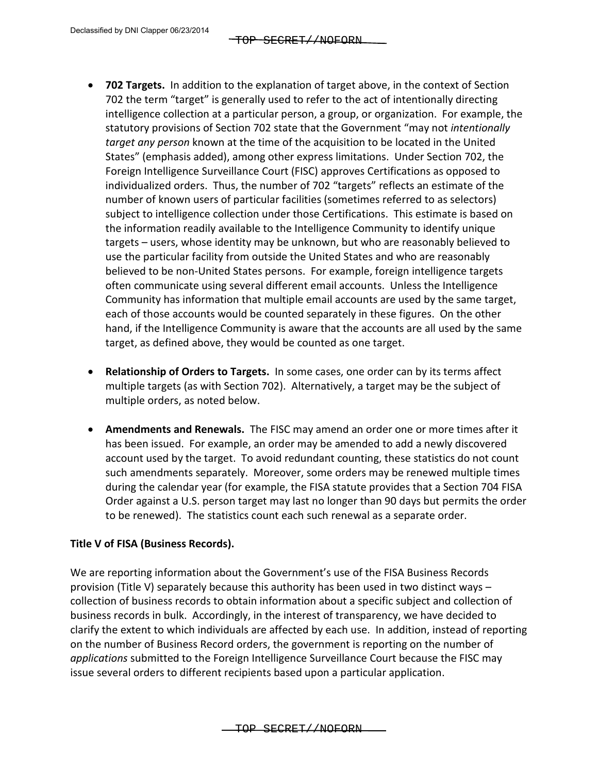- **702 Targets.** In addition to the explanation of target above, in the context of Section 702 the term "target" is generally used to refer to the act of intentionally directing intelligence collection at a particular person, a group, or organization. For example, the statutory provisions of Section 702 state that the Government "may not *intentionally target any person* known at the time of the acquisition to be located in the United States" (emphasis added), among other express limitations. Under Section 702, the Foreign Intelligence Surveillance Court (FISC) approves Certifications as opposed to individualized orders. Thus, the number of 702 "targets" reflects an estimate of the number of known users of particular facilities (sometimes referred to as selectors) subject to intelligence collection under those Certifications. This estimate is based on the information readily available to the Intelligence Community to identify unique targets – users, whose identity may be unknown, but who are reasonably believed to use the particular facility from outside the United States and who are reasonably believed to be non-United States persons. For example, foreign intelligence targets often communicate using several different email accounts. Unless the Intelligence Community has information that multiple email accounts are used by the same target, each of those accounts would be counted separately in these figures. On the other hand, if the Intelligence Community is aware that the accounts are all used by the same target, as defined above, they would be counted as one target.
- **Relationship of Orders to Targets.** In some cases, one order can by its terms affect multiple targets (as with Section 702). Alternatively, a target may be the subject of multiple orders, as noted below.
- **Amendments and Renewals.** The FISC may amend an order one or more times after it has been issued. For example, an order may be amended to add a newly discovered account used by the target. To avoid redundant counting, these statistics do not count such amendments separately. Moreover, some orders may be renewed multiple times during the calendar year (for example, the FISA statute provides that a Section 704 FISA Order against a U.S. person target may last no longer than 90 days but permits the order to be renewed). The statistics count each such renewal as a separate order.

## **Title V of FISA (Business Records).**

We are reporting information about the Government's use of the FISA Business Records provision (Title V) separately because this authority has been used in two distinct ways – collection of business records to obtain information about a specific subject and collection of business records in bulk. Accordingly, in the interest of transparency, we have decided to clarify the extent to which individuals are affected by each use. In addition, instead of reporting on the number of Business Record orders, the government is reporting on the number of *applications* submitted to the Foreign Intelligence Surveillance Court because the FISC may issue several orders to different recipients based upon a particular application.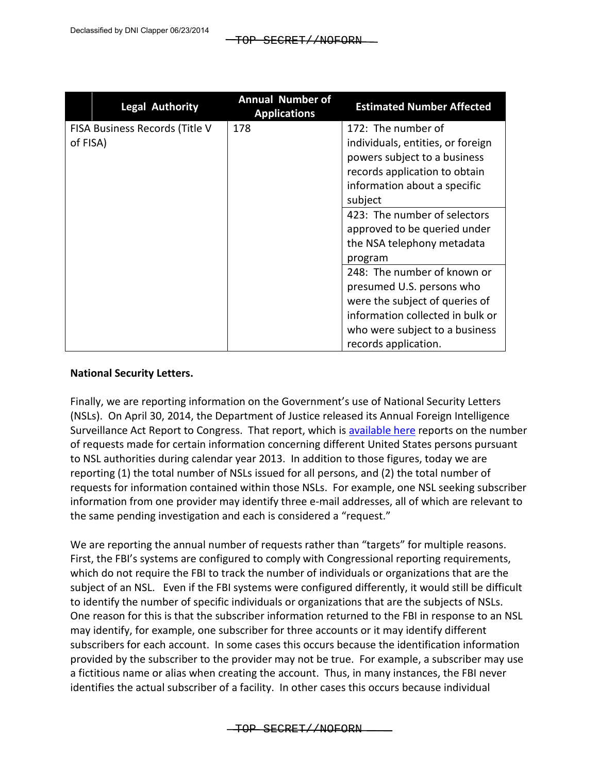| <b>Legal Authority</b>         | <b>Annual Number of</b><br><b>Applications</b> | <b>Estimated Number Affected</b>  |
|--------------------------------|------------------------------------------------|-----------------------------------|
| FISA Business Records (Title V | 178                                            | 172: The number of                |
| of FISA)                       |                                                | individuals, entities, or foreign |
|                                |                                                | powers subject to a business      |
|                                |                                                | records application to obtain     |
|                                |                                                | information about a specific      |
|                                |                                                | subject                           |
|                                |                                                | 423: The number of selectors      |
|                                |                                                | approved to be queried under      |
|                                |                                                | the NSA telephony metadata        |
|                                |                                                | program                           |
|                                |                                                | 248: The number of known or       |
|                                |                                                | presumed U.S. persons who         |
|                                |                                                | were the subject of queries of    |
|                                |                                                | information collected in bulk or  |
|                                |                                                | who were subject to a business    |
|                                |                                                | records application.              |

## **National Security Letters.**

Finally, we are reporting information on the Government's use of National Security Letters (NSLs). On April 30, 2014, the Department of Justice released its Annual Foreign Intelligence Surveillance Act Report to Congress. That report, which is [available here](http://www.justice.gov/nsd/foia/foia_library/2013fisa-ltr.pdf) reports on the number of requests made for certain information concerning different United States persons pursuant to NSL authorities during calendar year 2013. In addition to those figures, today we are reporting (1) the total number of NSLs issued for all persons, and (2) the total number of requests for information contained within those NSLs. For example, one NSL seeking subscriber information from one provider may identify three e-mail addresses, all of which are relevant to the same pending investigation and each is considered a "request."

We are reporting the annual number of requests rather than "targets" for multiple reasons. First, the FBI's systems are configured to comply with Congressional reporting requirements, which do not require the FBI to track the number of individuals or organizations that are the subject of an NSL. Even if the FBI systems were configured differently, it would still be difficult to identify the number of specific individuals or organizations that are the subjects of NSLs. One reason for this is that the subscriber information returned to the FBI in response to an NSL may identify, for example, one subscriber for three accounts or it may identify different subscribers for each account. In some cases this occurs because the identification information provided by the subscriber to the provider may not be true. For example, a subscriber may use a fictitious name or alias when creating the account. Thus, in many instances, the FBI never identifies the actual subscriber of a facility. In other cases this occurs because individual